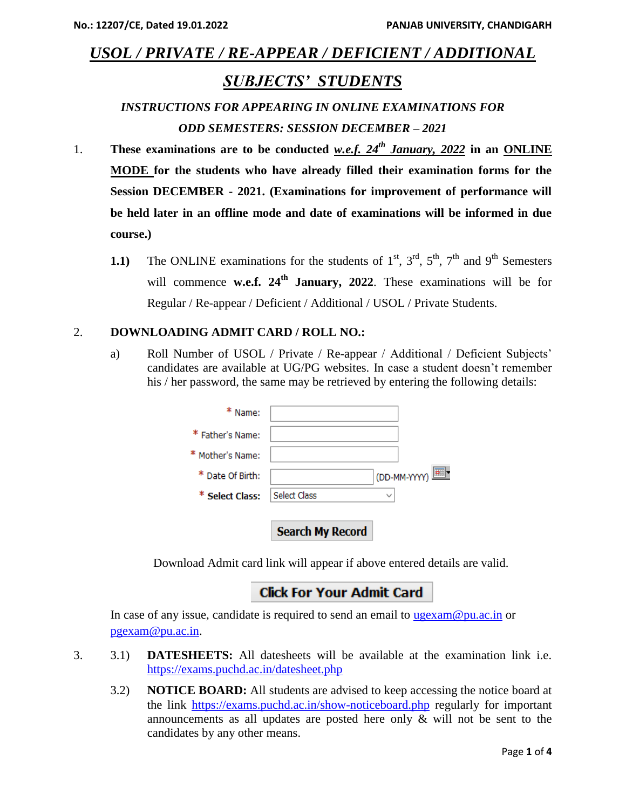# *USOL / PRIVATE / RE-APPEAR / DEFICIENT / ADDITIONAL*

# *SUBJECTS' STUDENTS*

*INSTRUCTIONS FOR APPEARING IN ONLINE EXAMINATIONS FOR ODD SEMESTERS: SESSION DECEMBER – 2021* 

- 1. **These examinations are to be conducted** *w.e.f. 24th January, 2022* **in an ONLINE MODE for the students who have already filled their examination forms for the Session DECEMBER - 2021. (Examinations for improvement of performance will be held later in an offline mode and date of examinations will be informed in due course.)**
	- **1.1**) The ONLINE examinations for the students of  $1<sup>st</sup>$ ,  $3<sup>rd</sup>$ ,  $5<sup>th</sup>$ ,  $7<sup>th</sup>$  and  $9<sup>th</sup>$  Semesters will commence **w.e.f. 24th January, 2022**. These examinations will be for Regular / Re-appear / Deficient / Additional / USOL / Private Students.

#### 2. **DOWNLOADING ADMIT CARD / ROLL NO.:**

a) Roll Number of USOL / Private / Re-appear / Additional / Deficient Subjects' candidates are available at UG/PG websites. In case a student doesn't remember his / her password, the same may be retrieved by entering the following details:

|                  | <b>Search My Record</b> |              |
|------------------|-------------------------|--------------|
| * Select Class:  | <b>Select Class</b>     |              |
| * Date Of Birth: |                         | (DD-MM-YYYY) |
| * Mother's Name: |                         |              |
| * Father's Name: |                         |              |
| * Name:          |                         |              |

Download Admit card link will appear if above entered details are valid.

### **Click For Your Admit Card**

In case of any issue, candidate is required to send an email to [ugexam@pu.ac.in](mailto:ugexam@pu.ac.in) or [pgexam@pu.ac.in.](mailto:pgexam@pu.ac.in)

- 3. 3.1) **DATESHEETS:** All datesheets will be available at the examination link i.e. <https://exams.puchd.ac.in/datesheet.php>
	- 3.2) **NOTICE BOARD:** All students are advised to keep accessing the notice board at the link <https://exams.puchd.ac.in/show-noticeboard.php> regularly for important announcements as all updates are posted here only & will not be sent to the candidates by any other means.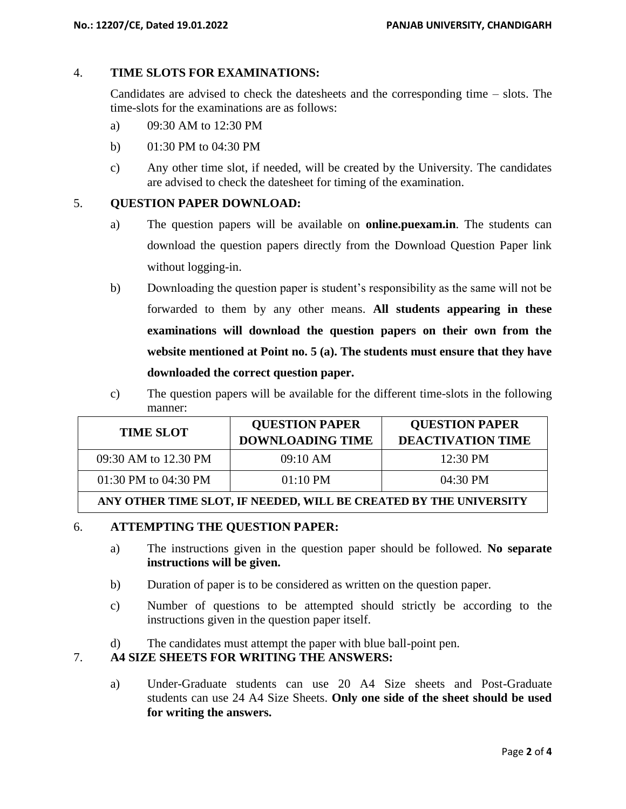#### 4. **TIME SLOTS FOR EXAMINATIONS:**

Candidates are advised to check the datesheets and the corresponding time – slots. The time-slots for the examinations are as follows:

- a) 09:30 AM to 12:30 PM
- b) 01:30 PM to 04:30 PM
- c) Any other time slot, if needed, will be created by the University. The candidates are advised to check the datesheet for timing of the examination.

#### 5. **QUESTION PAPER DOWNLOAD:**

- a) The question papers will be available on **online.puexam.in**. The students can download the question papers directly from the Download Question Paper link without logging-in.
- b) Downloading the question paper is student's responsibility as the same will not be forwarded to them by any other means. **All students appearing in these examinations will download the question papers on their own from the website mentioned at Point no. 5 (a). The students must ensure that they have downloaded the correct question paper.**
- c) The question papers will be available for the different time-slots in the following manner:

| <b>TIME SLOT</b>     | <b>QUESTION PAPER</b><br><b>DOWNLOADING TIME</b> | <b>QUESTION PAPER</b><br><b>DEACTIVATION TIME</b> |  |
|----------------------|--------------------------------------------------|---------------------------------------------------|--|
| 09:30 AM to 12.30 PM | 09:10 AM                                         | $12:30 \text{ PM}$                                |  |
| 01:30 PM to 04:30 PM | $01:10 \text{ PM}$                               | $04:30 \text{ PM}$                                |  |
|                      |                                                  |                                                   |  |

#### **ANY OTHER TIME SLOT, IF NEEDED, WILL BE CREATED BY THE UNIVERSITY**

#### 6. **ATTEMPTING THE QUESTION PAPER:**

- a) The instructions given in the question paper should be followed. **No separate instructions will be given.**
- b) Duration of paper is to be considered as written on the question paper.
- c) Number of questions to be attempted should strictly be according to the instructions given in the question paper itself.
- d) The candidates must attempt the paper with blue ball-point pen.

#### 7. **A4 SIZE SHEETS FOR WRITING THE ANSWERS:**

a) Under-Graduate students can use 20 A4 Size sheets and Post-Graduate students can use 24 A4 Size Sheets. **Only one side of the sheet should be used for writing the answers.**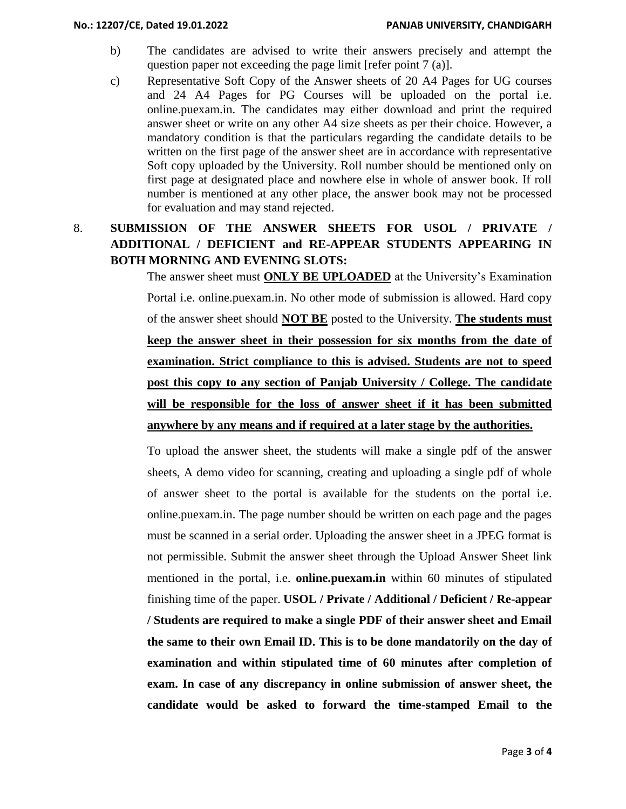- b) The candidates are advised to write their answers precisely and attempt the question paper not exceeding the page limit [refer point 7 (a)].
- c) Representative Soft Copy of the Answer sheets of 20 A4 Pages for UG courses and 24 A4 Pages for PG Courses will be uploaded on the portal i.e. online.puexam.in. The candidates may either download and print the required answer sheet or write on any other A4 size sheets as per their choice. However, a mandatory condition is that the particulars regarding the candidate details to be written on the first page of the answer sheet are in accordance with representative Soft copy uploaded by the University. Roll number should be mentioned only on first page at designated place and nowhere else in whole of answer book. If roll number is mentioned at any other place, the answer book may not be processed for evaluation and may stand rejected.

## 8. **SUBMISSION OF THE ANSWER SHEETS FOR USOL / PRIVATE / ADDITIONAL / DEFICIENT and RE-APPEAR STUDENTS APPEARING IN BOTH MORNING AND EVENING SLOTS:**

The answer sheet must **ONLY BE UPLOADED** at the University's Examination Portal i.e. online.puexam.in. No other mode of submission is allowed. Hard copy of the answer sheet should **NOT BE** posted to the University. **The students must keep the answer sheet in their possession for six months from the date of examination. Strict compliance to this is advised. Students are not to speed post this copy to any section of Panjab University / College. The candidate will be responsible for the loss of answer sheet if it has been submitted anywhere by any means and if required at a later stage by the authorities.**

To upload the answer sheet, the students will make a single pdf of the answer sheets, A demo video for scanning, creating and uploading a single pdf of whole of answer sheet to the portal is available for the students on the portal i.e. online.puexam.in. The page number should be written on each page and the pages must be scanned in a serial order. Uploading the answer sheet in a JPEG format is not permissible. Submit the answer sheet through the Upload Answer Sheet link mentioned in the portal, i.e. **online.puexam.in** within 60 minutes of stipulated finishing time of the paper. **USOL / Private / Additional / Deficient / Re-appear / Students are required to make a single PDF of their answer sheet and Email the same to their own Email ID. This is to be done mandatorily on the day of examination and within stipulated time of 60 minutes after completion of exam. In case of any discrepancy in online submission of answer sheet, the candidate would be asked to forward the time-stamped Email to the**